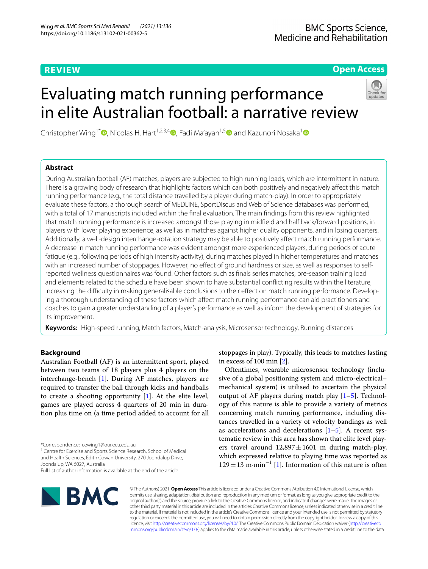# **REVIEW**

# **Open Access**

# Evaluating match running performance in elite Australian football: a narrative review



Christopher Wing<sup>[1](https://orcid.org/0000-0001-7373-4994)\*</sup> **.** Nicolas H. Hart<sup>1,2,3,4</sup> [,](http://orcid.org/0000-0002-3105-4410) Fadi Ma'ayah<sup>1,[5](https://orcid.org/0000-0002-6668-3815)</sup> and Kazunori Nosaka<sup>1</sup>

# **Abstract**

During Australian football (AF) matches, players are subjected to high running loads, which are intermittent in nature. There is a growing body of research that highlights factors which can both positively and negatively afect this match running performance (e.g., the total distance travelled by a player during match-play). In order to appropriately evaluate these factors, a thorough search of MEDLINE, SportDiscus and Web of Science databases was performed, with a total of 17 manuscripts included within the fnal evaluation. The main fndings from this review highlighted that match running performance is increased amongst those playing in midfeld and half back/forward positions, in players with lower playing experience, as well as in matches against higher quality opponents, and in losing quarters. Additionally, a well-design interchange-rotation strategy may be able to positively afect match running performance. A decrease in match running performance was evident amongst more experienced players, during periods of acute fatigue (e.g., following periods of high intensity activity), during matches played in higher temperatures and matches with an increased number of stoppages. However, no efect of ground hardness or size, as well as responses to selfreported wellness questionnaires was found. Other factors such as fnals series matches, pre-season training load and elements related to the schedule have been shown to have substantial conficting results within the literature, increasing the difficulty in making generalisable conclusions to their effect on match running performance. Developing a thorough understanding of these factors which affect match running performance can aid practitioners and coaches to gain a greater understanding of a player's performance as well as inform the development of strategies for its improvement.

**Keywords:** High-speed running, Match factors, Match-analysis, Microsensor technology, Running distances

# **Background**

Australian Football (AF) is an intermittent sport, played between two teams of 18 players plus 4 players on the interchange-bench [[1\]](#page-12-0). During AF matches, players are required to transfer the ball through kicks and handballs to create a shooting opportunity [[1\]](#page-12-0). At the elite level, games are played across 4 quarters of 20 min in duration plus time on (a time period added to account for all

\*Correspondence: cewing1@our.ecu.edu.au

<sup>1</sup> Centre for Exercise and Sports Science Research, School of Medical and Health Sciences, Edith Cowan University, 270 Joondalup Drive, Joondalup, WA 6027, Australia

Full list of author information is available at the end of the article



stoppages in play). Typically, this leads to matches lasting in excess of 100 min [\[2](#page-12-1)].

Oftentimes, wearable microsensor technology (inclusive of a global positioning system and micro-electrical– mechanical system) is utilised to ascertain the physical output of AF players during match play  $[1–5]$  $[1–5]$  $[1–5]$ . Technology of this nature is able to provide a variety of metrics concerning match running performance, including distances travelled in a variety of velocity bandings as well as accelerations and decelerations  $[1-5]$  $[1-5]$ . A recent systematic review in this area has shown that elite level players travel around  $12,897 \pm 1601$  m during match-play, which expressed relative to playing time was reported as 129±13 m·min<sup>−</sup><sup>1</sup> [\[1](#page-12-0)]. Information of this nature is often

© The Author(s) 2021. **Open Access** This article is licensed under a Creative Commons Attribution 4.0 International License, which permits use, sharing, adaptation, distribution and reproduction in any medium or format, as long as you give appropriate credit to the original author(s) and the source, provide a link to the Creative Commons licence, and indicate if changes were made. The images or other third party material in this article are included in the article's Creative Commons licence, unless indicated otherwise in a credit line to the material. If material is not included in the article's Creative Commons licence and your intended use is not permitted by statutory regulation or exceeds the permitted use, you will need to obtain permission directly from the copyright holder. To view a copy of this licence, visit [http://creativecommons.org/licenses/by/4.0/.](http://creativecommons.org/licenses/by/4.0/) The Creative Commons Public Domain Dedication waiver ([http://creativeco](http://creativecommons.org/publicdomain/zero/1.0/) [mmons.org/publicdomain/zero/1.0/](http://creativecommons.org/publicdomain/zero/1.0/)) applies to the data made available in this article, unless otherwise stated in a credit line to the data.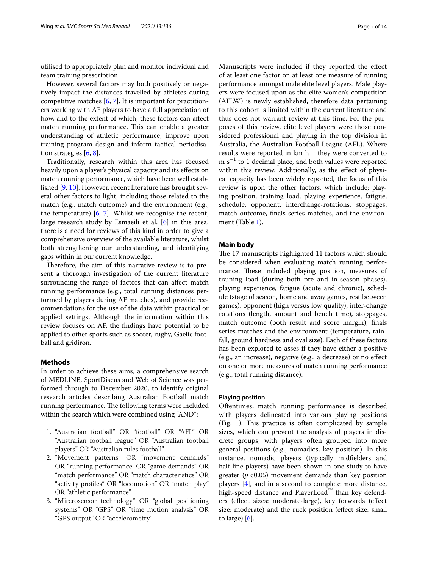utilised to appropriately plan and monitor individual and team training prescription.

However, several factors may both positively or negatively impact the distances travelled by athletes during competitive matches [\[6](#page-12-3), [7](#page-12-4)]. It is important for practitioners working with AF players to have a full appreciation of how, and to the extent of which, these factors can afect match running performance. This can enable a greater understanding of athletic performance, improve upon training program design and inform tactical periodisation strategies [[6,](#page-12-3) [8\]](#page-12-5).

Traditionally, research within this area has focused heavily upon a player's physical capacity and its efects on match running performance, which have been well established [[9](#page-12-6), [10\]](#page-12-7). However, recent literature has brought several other factors to light, including those related to the match (e.g., match outcome) and the environment (e.g., the temperature) [\[6](#page-12-3), [7\]](#page-12-4). Whilst we recognise the recent, large research study by Esmaeili et al. [\[6\]](#page-12-3) in this area, there is a need for reviews of this kind in order to give a comprehensive overview of the available literature, whilst both strengthening our understanding, and identifying gaps within in our current knowledge.

Therefore, the aim of this narrative review is to present a thorough investigation of the current literature surrounding the range of factors that can afect match running performance (e.g., total running distances performed by players during AF matches), and provide recommendations for the use of the data within practical or applied settings. Although the information within this review focuses on AF, the fndings have potential to be applied to other sports such as soccer, rugby, Gaelic football and gridiron.

# **Methods**

In order to achieve these aims, a comprehensive search of MEDLINE, SportDiscus and Web of Science was performed through to December 2020, to identify original research articles describing Australian Football match running performance. The following terms were included within the search which were combined using "AND":

- 1. "Australian football" OR "football" OR "AFL" OR "Australian football league" OR "Australian football players" OR "Australian rules football"
- 2. "Movement patterns" OR "movement demands" OR "running performance: OR "game demands" OR "match performance" OR "match characteristics" OR "activity profles" OR "locomotion" OR "match play" OR "athletic performance"
- 3. "Mircrosensor technology" OR "global positioning systems" OR "GPS" OR "time motion analysis" OR "GPS output" OR "accelerometry"

Manuscripts were included if they reported the efect of at least one factor on at least one measure of running performance amongst male elite level players. Male players were focused upon as the elite women's competition (AFLW) is newly established, therefore data pertaining to this cohort is limited within the current literature and thus does not warrant review at this time. For the purposes of this review, elite level players were those considered professional and playing in the top division in Australia, the Australian Football League (AFL). Where results were reported in  $km h^{-1}$  they were converted to  $m s<sup>-1</sup>$  to 1 decimal place, and both values were reported within this review. Additionally, as the effect of physical capacity has been widely reported, the focus of this review is upon the other factors, which include; playing position, training load, playing experience, fatigue, schedule, opponent, interchange-rotations, stoppages, match outcome, fnals series matches, and the environment (Table [1](#page-2-0)).

# **Main body**

The 17 manuscripts highlighted 11 factors which should be considered when evaluating match running performance. These included playing position, measures of training load (during both pre and in-season phases), playing experience, fatigue (acute and chronic), schedule (stage of season, home and away games, rest between games), opponent (high versus low quality), inter-change rotations (length, amount and bench time), stoppages, match outcome (both result and score margin), fnals series matches and the environment (temperature, rainfall, ground hardness and oval size). Each of these factors has been explored to asses if they have either a positive (e.g., an increase), negative (e.g., a decrease) or no efect on one or more measures of match running performance (e.g., total running distance).

#### **Playing position**

Oftentimes, match running performance is described with players delineated into various playing positions (Fig. [1\)](#page-6-0). This practice is often complicated by sample sizes, which can prevent the analysis of players in discrete groups, with players often grouped into more general positions (e.g., nomadics, key position). In this instance, nomadic players (typically midfelders and half line players) have been shown in one study to have greater  $(p<0.05)$  movement demands than key position players [\[4](#page-12-8)], and in a second to complete more distance, high-speed distance and PlayerLoad™ than key defenders (efect sizes: moderate-large), key forwards (efect size: moderate) and the ruck position (efect size: small to large) [[6\]](#page-12-3).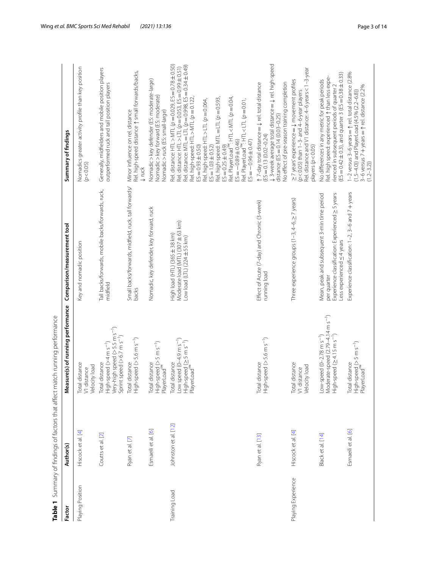|                    |                                  | Table 1 Summary of findings of factors that affect match running performance                                                                    |                                                                                                                                                   |                                                                                                                                                                                                                                                                                                                                                                                                                                                                                                                                                              |
|--------------------|----------------------------------|-------------------------------------------------------------------------------------------------------------------------------------------------|---------------------------------------------------------------------------------------------------------------------------------------------------|--------------------------------------------------------------------------------------------------------------------------------------------------------------------------------------------------------------------------------------------------------------------------------------------------------------------------------------------------------------------------------------------------------------------------------------------------------------------------------------------------------------------------------------------------------------|
| Factor             | Author(s)                        | Measure(s) of running performance                                                                                                               | Comparison/measurement tool                                                                                                                       | Summary of findings                                                                                                                                                                                                                                                                                                                                                                                                                                                                                                                                          |
| Playing Position   | $\overline{A}$<br>Hiscock et al. | I distance<br>Velocity load<br>Total distance<br>V1 distance                                                                                    | Key and nomadic position                                                                                                                          | Nomadics greater activity profile than key position<br>(p < 0.05)                                                                                                                                                                                                                                                                                                                                                                                                                                                                                            |
|                    | Coutts et al. [2]                | High-speed (>4 m s <sup>-1</sup> )<br>Very-high speed (>5.5 m s <sup>-1</sup> )<br>Sprint speed $(>6.7 \text{ m s}^{-1})$<br>Idistance<br>Total | Tall backs/forwards, mobile backs/forwards, ruck,<br>midfield                                                                                     | Generally, midfielders and mobile position players<br>outperformed ruck and tall position players                                                                                                                                                                                                                                                                                                                                                                                                                                                            |
|                    | Ryan et al. [7]                  | High-speed (>5.6 m s <sup>-1</sup> )<br>Total distance                                                                                          | Small backs/forwards, midfield, ruck, tall forwards/<br>backs                                                                                     | Rel. high-speed distance $\uparrow$ small forwards/backs,<br>Minor influence on rel. distance<br>$\downarrow$ ruck                                                                                                                                                                                                                                                                                                                                                                                                                                           |
|                    | Esmaeili et al. [6]              | High-speed (> 5 m s <sup>-1</sup> )<br>PlayerLoad <sup>na</sup><br>Total distance                                                               | Nomadic, key defender, key forward, ruck                                                                                                          | Nomadic > key defender (ES: moderate-large)<br>Nomadic > key forward (ES: moderate)<br>Nomadic > ruck (ES: small-large)                                                                                                                                                                                                                                                                                                                                                                                                                                      |
| Training Load      | Johnston et al. [12]             | Low speed $(0-4.9 \text{ m s}^{-1})$<br>High-speed (≥ 5 m s <sup>−1</sup> )<br>PlayerLoad™<br>Total distance                                    | Moderate load (MTL) (307 ± 63 km)<br>High load (HTL) (365 ± 38 km)<br>Low load (LTL) (224±55 km)                                                  | Rel. distance: HTL > MTL (p = 0.029, ES = 0.78 ± 0.50)<br>Rel. distance: MTL = LTL (p = 0.998, ES = 0.34 ± 0.49)<br>Rel. distance: HTL > LTL $(\mathcal{p}=0.053, \text{ES}=0.99\pm0.51)$<br>Rel. high-speed: HTL > MTL $\varphi$ = 0.122,<br>Rel. PlayerLoad <sup>n's</sup> : HTL < MTL (p = 0.04,<br>Rel. high-speed: MTL = LTL (p = 0.593,<br>Rel. high-speed: HTL > LTL (p = 0.064,<br>Rel. PlayerLoad"": HTL < LTL (p = 0.01,<br>$ES = -0.89 \pm 0.46$<br>$ES = -0.96 \pm 0.47$<br>$ES = 0.93 \pm 0.50$<br>$ES = 1.03 \pm 0.52$<br>$ES = 0.25 \pm 0.49$ |
|                    | Ryan et al. [13]                 | High-speed (>5.6 m s <sup>-1</sup> )<br>ldistance<br>Total                                                                                      | Effect of Acute (7-day) and Chronic (3-week)<br>running load                                                                                      | $\downarrow$ 3-week average total distance $=$ $\downarrow$ rel. high-speed<br>No effect of pre-season training completion<br>$\uparrow$ 7-day total distance = $\downarrow$ rel. total distance<br>distance (ES = $0.14$ (0.03-0.25)<br>$(ES = 0.13(0.02 - 0.24)$                                                                                                                                                                                                                                                                                           |
| Playing Experience | Hiscock et al. [4]               | I distance<br>Velocity load<br>V1 distance<br>Total                                                                                             | Three experience groups (1-3, 4-6, $\geq$ 7 years)                                                                                                | Rel. distance and V1 distance: 4-6 years < 1-3-year<br>>7 years' experience = $\downarrow$ movement profiles<br>$(p < 0.05)$ than $1-3$ - and $4-6$ -year players<br>players (p<0.05)                                                                                                                                                                                                                                                                                                                                                                        |
|                    | Black et al. [14]                | Moderate-speed (2.79-4.14 m s <sup>-1</sup> )<br>$High-speed$ ( $\geq 4.15$ m s <sup>-1</sup> )<br>Low-speed $(0-2.78 \text{ m s}^{-1})$        | Experience classification: Experienced > 5 years<br>Mean, peak and subsequent 3-min time period<br>Less experienced $\leq$ 4 years<br>per quarter | $(ES = 0.42 \pm 0.3)$ , and quarter 3 ( $ES = 0.38 \pm 0.33$ )<br>Rel. high speed: experienced $\uparrow$ than less expe-<br>No differences in any metric for peak periods<br>rienced in subsequent periods of quarter 2                                                                                                                                                                                                                                                                                                                                     |
|                    | Esmaeili et al. [6]              | High-speed (> 5 m s <sup>-1</sup> )<br>PlayerLoad <sup>nw</sup><br>Total distance                                                               | Experience classification: 1-2, 3-6 and 7 + years                                                                                                 | 1-2 versus 3-6 years $=$ $\uparrow$ rel. total distance (2.8%<br>3-6 versus 7 + years = $\uparrow$ rel. distance (2.2%<br>(1.5-4.0)) and PlayerLoad (4.5% (2.2-6.8))<br>$(1.2 - 3.2)$                                                                                                                                                                                                                                                                                                                                                                        |

<span id="page-2-0"></span>Table 1 Summary of findings of factors that affect match running performance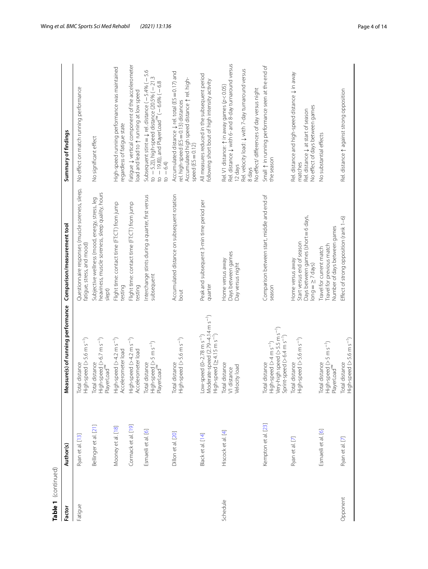| Table 1 (continued) |                       |                                                                                                                                             |                                                                                                              |                                                                                                                                                                                                                                                                |
|---------------------|-----------------------|---------------------------------------------------------------------------------------------------------------------------------------------|--------------------------------------------------------------------------------------------------------------|----------------------------------------------------------------------------------------------------------------------------------------------------------------------------------------------------------------------------------------------------------------|
| Factor              | Author(s)             | asure(s) of running performance<br>ے<br>ع                                                                                                   | Comparison/measurement tool                                                                                  | Summary of findings                                                                                                                                                                                                                                            |
| Fatigue             | Ryan et al. [13]      | $High-speed (> 5.6 m s-1)$<br>Total distance                                                                                                | Questionnaire responses (muscle soreness, sleep,<br>fatigue, stress, and mood)                               | No effect on match running performance                                                                                                                                                                                                                         |
|                     | Bellinger et al. [21] | High-speed (> 6.7 m s <sup>-1</sup> )<br>PlayerLoad™<br>Total distance                                                                      | heaviness, muscle soreness, sleep quality, hours<br>Subjective wellness (mood, energy, stress, leg<br>slept) | No significant effect                                                                                                                                                                                                                                          |
|                     | Mooney et al. [18]    | High-speed (>4.2 m s <sup>-1</sup> )<br>Accelerometer load                                                                                  | Flight time: contact time (FT:CT) from jump<br>testing                                                       | High-speed running performance was maintained<br>regardless of fatigue state                                                                                                                                                                                   |
|                     | Cormack et al. [19]   | High-speed (>4.2 m s <sup>-1</sup> )<br>Accelerometer load                                                                                  | Flight time: contact time (FT:CT) from jump<br>testing                                                       | Fatigue $\downarrow$ vertical component of the accelerometer<br>load and lead to $\uparrow$ running at low speed                                                                                                                                               |
|                     | Esmaeili et al. [6]   | High-speed (> 5 m s <sup>-1</sup> )<br>PlayerLoad™<br>Total distance                                                                        | Interchange stints during a quarter, first versus<br>subsequent                                              | 5.6<br>to $-5.2$ )), high-speed distance (20.5% ( $-21.3$<br>Subsequent stint = $\downarrow$ rel. distance (-5.4% (-<br>to $-19.8$ )), and PlayerLoad <sup>n</sup> ( $-6.6\%$ ( $-6.8$<br>$10 - 6.4$                                                           |
|                     | Dillon et al. [20]    | $High-speed (> 5.6 \text{ m s}^{-1})$<br>Total distance                                                                                     | Accumulated distance on subsequent rotation<br>bout                                                          | Accumulated distance $\downarrow$ rel. total (ES = 0.17) and<br>Accumulated high speed distance $\uparrow$ rel. high-<br>rel. high-speed (ES = 0.13) distances<br>speed $(ES = 0.12)$                                                                          |
|                     | Black et al. [14]     | Moderate-speed (2.79-4.14 m s <sup>-1</sup> )<br>High-speed $(\geq 4.15 \text{ m s}^{-1})$<br>Low-speed $(0-2.78 \text{ m s}^{-1})$         | Peak and subsequent 3-min time period per<br>quarter                                                         | All measures reduced in the subsequent period<br>following short bout of high intensity activity                                                                                                                                                               |
| Schedule            | Hiscock et al. [4]    | Total distance<br>Velocity load<br>V1 distance                                                                                              | Days between games<br>Home versus away<br>Day versus night                                                   | Rel. distance $\downarrow$ with 6- and 8-day turnaround versus<br>Rel. velocity load: $\downarrow$ with 7-day turnaround versus<br>Rel. V1 distance: $\uparrow$ in away games ( $p$ < 0.05)<br>No effect/ differences of day versus night<br>I2 days<br>8 days |
|                     | Kempton et al. [23]   | High-speed (>4 m s <sup>-1</sup> )<br>Very-high speed (>5.5 m s <sup>-1</sup> )<br>Sprint-speed $(>6.4 \text{ m s}^{-1})$<br>Total distance | Comparison between start, middle and end of<br>season                                                        | Small $\uparrow$ in running performance seen at the end of<br>the season                                                                                                                                                                                       |
|                     | Ryan et al. [7]       | $High-speed (> 5.6 \text{ m s}^{-1})$<br>Total distance                                                                                     | Days between games (short = 6 days,<br>Start versus end of season<br>Home versus away<br>$long = 27 days$    | Rel. distance and high-speed distance ↓ in away<br>No effect of days between games<br>Rel. distance $\downarrow$ at start of season<br>matches                                                                                                                 |
|                     | Esmaeili et al. [6]   | High-speed (> 5 m s <sup>-1</sup> )<br>PlayerLoad <sup>nw</sup><br>Total distance                                                           | Number of days between games<br>Travel for previous match<br>Travel for current match                        | No substantial effects                                                                                                                                                                                                                                         |
| Opponent            | Ryan et al. [7]       | $High-speed (> 5.6 m s-1)$<br>Total distance                                                                                                | Effect of strong opposition (rank 1-6)                                                                       | Rel. distance 1 against strong opposition                                                                                                                                                                                                                      |
|                     |                       |                                                                                                                                             |                                                                                                              |                                                                                                                                                                                                                                                                |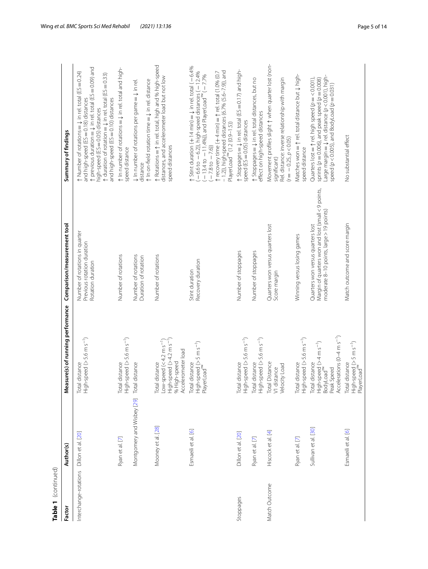| Table 1 (continued)   |                            |                                                                                                                                          |                                                                                                                                     |                                                                                                                                                                                                                                                                                                                                                                                                               |
|-----------------------|----------------------------|------------------------------------------------------------------------------------------------------------------------------------------|-------------------------------------------------------------------------------------------------------------------------------------|---------------------------------------------------------------------------------------------------------------------------------------------------------------------------------------------------------------------------------------------------------------------------------------------------------------------------------------------------------------------------------------------------------------|
| Factor                | Author(s)                  | Measure(s) of running performance                                                                                                        | Comparison/measurement tool                                                                                                         | Summary of findings                                                                                                                                                                                                                                                                                                                                                                                           |
| Interchange-rotations | Dillon et al. [20]         | Total distance<br>High-speed (> 5.6 m s <sup>-1</sup> )                                                                                  | Number of rotations in quarter<br>Previous rotation duration<br>Rotation duration                                                   | $\uparrow$ previous duration = $\downarrow$ in rel. total (ES = 0.09) and<br>$\uparrow$ Number of rotations = $\downarrow$ in rel. total (ES = 0.24)<br>$\uparrow$ duration of rotation = $\downarrow$ in rel. total (ES = 0.33)<br>and high-speed (ES = 0.10) distances<br>and high-speed (ES = 0.18) distances<br>high-speed (ES = 0.05) distances                                                          |
|                       | Ryan et al. [7]            | Total distance<br>High-speed (> 5.6 m s <sup>-1</sup> )                                                                                  | Number of rotations                                                                                                                 | $\uparrow$ In number of rotations = $\downarrow$ in rel. total and high-<br>speed distance                                                                                                                                                                                                                                                                                                                    |
|                       | Montgomery and Wisbey [29] | Total distance                                                                                                                           | Number of rotations<br>Duration of rotation                                                                                         | $\uparrow$ In on-field rotation time = $\downarrow$ in rel. distance<br>$\downarrow$ In number of rotations per game $=\downarrow$ in rel.<br>distance                                                                                                                                                                                                                                                        |
|                       | Mooney et al. [28]         | Total distance<br>Low-speed (< 4.2 m s <sup>-1</sup> )<br>High-speed (> 4.2 m s <sup>-1</sup> )<br>% High-speed<br>Accelerometer load    | Number of rotations                                                                                                                 | ↑ Rotations = ↑ in rel. total, high and % high-speed<br>distances, and accelerometer load but not low<br>speed distances                                                                                                                                                                                                                                                                                      |
|                       | Esmaeili et al. [6]        | High-speed (> 5 m s <sup>-1</sup> )<br>PlayerLoad™<br>Total distance                                                                     | Recovery duration<br>Stint duration                                                                                                 | $\uparrow$ Stint duration (+ 14 min) = $\downarrow$ in rel. total ( - 6.4%<br>$-$ 1.2)), high-speed distances (6.7% (5.6-7.9)), and<br>$(-6.6 \text{ to } -6.2)$ ), high-speed distances ( $-12.4\%$<br>$(-13.4 \text{ to } -11.4\%)$ ), and PlayerLoad $( -7.7\% )$<br>$\uparrow$ recovery time (+4 min) = $\uparrow$ rel. total (1.0% (0.7<br>PlayerLoad <sup>m</sup> (1.2 (0.9-1.5))<br>$-7.8$ to $-7.6$ ) |
| Stoppages             | Dillon et al. [20]         | Total distance<br>High-speed (> 5.6 m s <sup>-1</sup> )                                                                                  | Number of stoppages                                                                                                                 | $\uparrow$ Stoppages = $\downarrow$ in rel. total (ES = 0.17) and high-<br>speed (ES = 0.05) distances                                                                                                                                                                                                                                                                                                        |
|                       | Ryan et al. [7]            | $High-speed (> 5.6 m s-1)$<br>Total distance                                                                                             | Number of stoppages                                                                                                                 | ↑ Stoppages = ↓ in rel. total distances, but no<br>effect on high-speed distances                                                                                                                                                                                                                                                                                                                             |
| Match Outcome         | Hiscock et al. [4]         | Total Distance<br>V1 distance<br>Velocity Load                                                                                           | Quarters won versus quarters lost<br>Score margin                                                                                   | Movement profiles slight $\uparrow$ when quarter lost (non-<br>Rel. distance: inverse relationship with margin<br>$(r = -0.25, p < 0.05)$<br>significant)                                                                                                                                                                                                                                                     |
|                       | Ryan et al. [7]            | Total distance<br>High-speed (> 5.6 m s <sup>-1</sup> )                                                                                  | Winning versus losing games                                                                                                         | Matches won = 1 rel. total distance but $\downarrow$ high-<br>speed distance                                                                                                                                                                                                                                                                                                                                  |
|                       | Sullivan et al. [30]       | Accelerations ( $0-4$ m s <sup>-1</sup> )<br>High-speed (>4 m s <sup>-1</sup> )<br>BodyLoad <sup>™</sup><br>Peak Speed<br>Total distance | Margin of quarters won and lost (small < 9 points,<br>moderate 8-10 points, large > 19 points)<br>Quarters won versus quarters lost | Large margin = $\downarrow$ rel. distance (p < 0.001), high-<br>Quarters lost = $\uparrow$ rel. high speed ( $p = < 0.001$ ),<br>sprints ( $p = 0.006$ ), and peak speed ( $p = 0.008$ )<br>speed ( $p$ < 0.005), and BodyLoad ( $p$ = 0.031)                                                                                                                                                                 |
|                       | Esmaeili et al. [6]        | High-speed (> 5 m s <sup>-1</sup> )<br>PlayerLoad™<br>Total distance                                                                     | Match outcome and score margin                                                                                                      | No substantial effect                                                                                                                                                                                                                                                                                                                                                                                         |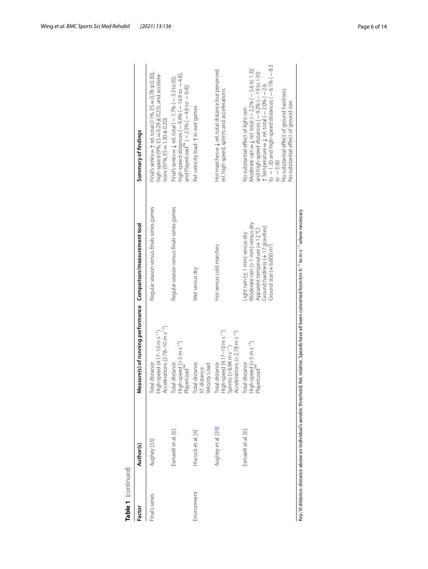| Table 1 (continued) |                     |                                                                                                                                                                                |                                                                                                                                                                               |                                                                                                                                                                                                                                                                                                                                                                                                |
|---------------------|---------------------|--------------------------------------------------------------------------------------------------------------------------------------------------------------------------------|-------------------------------------------------------------------------------------------------------------------------------------------------------------------------------|------------------------------------------------------------------------------------------------------------------------------------------------------------------------------------------------------------------------------------------------------------------------------------------------------------------------------------------------------------------------------------------------|
| Factor              | Author(s)           | Measure(s) of running performance Comparison/measurement tool                                                                                                                  |                                                                                                                                                                               | Summary of findings                                                                                                                                                                                                                                                                                                                                                                            |
| Final's series      | Aughey [33]         | Total distance<br>High-speed (4.17–10 m s <sup>-1</sup> )<br>Accelerations (2.78–10 m s <sup>-2</sup> )                                                                        | Regular season versus finals series games                                                                                                                                     | Final's series $=$ 1 rel. total (11%, ES $=$ 0.78 $\pm$ 0.30),<br>high-speed (9%, ES = 0.29 ± 0.25), and accelera-<br>tions (97%, $ES = 1.30 \pm 0.20$ )                                                                                                                                                                                                                                       |
|                     | Esmaeili et al. [6] | Total distance<br>High-speed (> 5 m s <sup>-1</sup> )<br>PlayerLoad <sup>rм</sup>                                                                                              | Regular season versus finals series games                                                                                                                                     | high-speed distances ( - 9.9% ( - 14.8 to - 4.8),<br>Final's series $=$ $\downarrow$ rel. total ( $-$ 1.7% ( $-$ 3.3 to 0)),<br>and PlayerLoad" $(-2.5\% (-4.6 \text{ to } -0.4))$                                                                                                                                                                                                             |
| Environment         | Hiscock et al. [4]  | Total distance<br>V1 distance<br>Velocity Load                                                                                                                                 | Wet versus dry                                                                                                                                                                | Rel. velocity load: 1 in wet games                                                                                                                                                                                                                                                                                                                                                             |
|                     | Aughey et al. [39]  | Total distance<br>High-speed (4.17–10 m s <sup>–1</sup> )<br>Sprints (> 6.94 m s <sup>–1</sup> )<br>Accelerations (> 2.78 m s <sup>–3</sup> )                                  | Hot versus cold matches                                                                                                                                                       | Hot matches = $\downarrow$ rel. total distance but preserved<br>rel. high-speed, sprints and accelerations                                                                                                                                                                                                                                                                                     |
|                     | Esmaeili et al. [6] | Total distance<br>High-speed (> 5 m s <sup>-1</sup> )<br>PlayerLoad <sup>™</sup>                                                                                               | Moderate rain (> 1 mm) versus dry<br>Ground hardness (+17 gravities)<br>Apparent temperature (+12 °C)<br>Light rain (≤ 1 mm) versus dry<br>Ground size $(+6,600 \text{ m}^2)$ | to $-1.3$ )) and high-speed distances ( $-6.1\%$ ( $-8.3$<br>Moderate rain = $\downarrow$ rel. total ( $-2.2\%$ ( $-5.6$ to 1.3))<br>and high-speed distances $(-9.2\% - 19$ to 1.9)<br>$\uparrow$ Temperature = $\downarrow$ rel. total (-2.0% (-2.6<br>No substantial effect of ground hardness<br>No substantial effect of ground size<br>No substantial effect of light rain<br>$10 - 3.9$ |
|                     |                     | Key; VI distance: distance above an individual's aerobic threshold; Rel, relative. Speeds have all been converted from km·h <sup>-1</sup> to m·s <sup>-1</sup> where necessary |                                                                                                                                                                               |                                                                                                                                                                                                                                                                                                                                                                                                |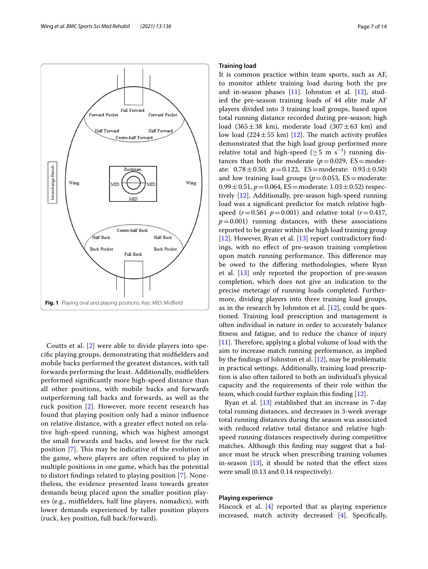

<span id="page-6-0"></span>Coutts et al. [[2\]](#page-12-1) were able to divide players into specifc playing groups, demonstrating that midfelders and mobile backs performed the greatest distances, with tall forwards performing the least. Additionally, midfelders performed signifcantly more high-speed distance than all other positions, with mobile backs and forwards outperforming tall backs and forwards, as well as the ruck position [[2\]](#page-12-1). However, more recent research has found that playing position only had a minor infuence on relative distance, with a greater efect noted on relative high-speed running, which was highest amongst the small forwards and backs, and lowest for the ruck position [[7\]](#page-12-4). This may be indicative of the evolution of the game, where players are often required to play in multiple positions in one game, which has the potential to distort fndings related to playing position [[7\]](#page-12-4). Nonetheless, the evidence presented leans towards greater demands being placed upon the smaller position players (e.g., midfelders, half line players, nomadics), with lower demands experienced by taller position players (ruck, key position, full back/forward).

# **Training load**

It is common practice within team sports, such as AF, to monitor athlete training load during both the pre and in-season phases [[11\]](#page-12-16). Johnston et al. [\[12\]](#page-12-9), studied the pre-season training loads of 44 elite male AF players divided into 3 training load groups, based upon total running distance recorded during pre-season; high load (365 $\pm$ 38 km), moderate load (307 $\pm$ 63 km) and low load (224 $\pm$ 55 km) [\[12](#page-12-9)]. The match activity profiles demonstrated that the high load group performed more relative total and high-speed ( $\geq$  5 m s<sup>-1</sup>) running distances than both the moderate  $(p=0.029, ES=moder$ ate:  $0.78 \pm 0.50$ ;  $p = 0.122$ ,  $ES = moderate: 0.93 \pm 0.50$ and low training load groups ( $p=0.053$ , ES=moderate:  $0.99 \pm 0.51$ ,  $p = 0.064$ , ES = moderate:  $1.03 \pm 0.52$ ) respectively [\[12](#page-12-9)]. Additionally, pre-season high-speed running load was a signifcant predictor for match relative highspeed ( $r = 0.561$   $p = 0.001$ ) and relative total ( $r = 0.417$ ,  $p=0.001$ ) running distances, with these associations reported to be greater within the high load training group [[12\]](#page-12-9). However, Ryan et al. [\[13\]](#page-12-10) report contradictory findings, with no efect of pre-season training completion upon match running performance. This difference may be owed to the difering methodologies, where Ryan et al. [\[13\]](#page-12-10) only reported the proportion of pre-season completion, which does not give an indication to the precise meterage of running loads completed. Furthermore, dividing players into three training load groups, as in the research by Johnston et al. [\[12](#page-12-9)], could be questioned. Training load prescription and management is often individual in nature in order to accurately balance ftness and fatigue, and to reduce the chance of injury [[11\]](#page-12-16). Therefore, applying a global volume of load with the aim to increase match running performance, as implied by the fndings of Johnston et al. [[12\]](#page-12-9), may be problematic in practical settings. Additionally, training load prescription is also often tailored to both an individual's physical capacity and the requirements of their role within the team, which could further explain this fnding [[12\]](#page-12-9).

Ryan et al.  $[13]$  $[13]$  established that an increase in 7-day total running distances, and decreases in 3-week average total running distances during the season was associated with reduced relative total distance and relative highspeed running distances respectively during competitive matches. Although this fnding may suggest that a balance must be struck when prescribing training volumes in-season  $[13]$  $[13]$ , it should be noted that the effect sizes were small (0.13 and 0.14 respectively).

# **Playing experience**

Hiscock et al. [\[4](#page-12-8)] reported that as playing experience increased, match activity decreased [\[4](#page-12-8)]. Specifcally,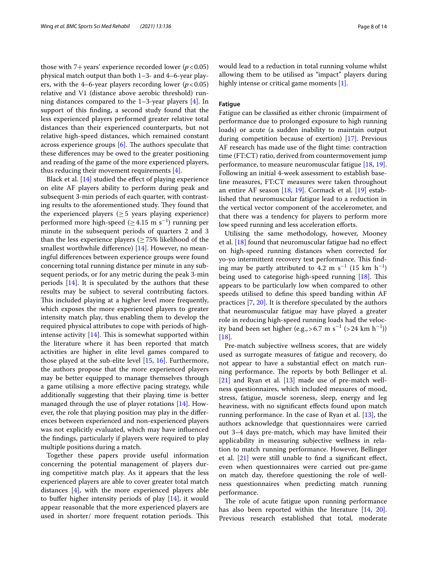those with 7+years' experience recorded lower ( $p < 0.05$ ) physical match output than both 1–3- and 4–6-year players, with the 4–6-year players recording lower  $(p < 0.05)$ relative and V1 (distance above aerobic threshold) running distances compared to the 1–3-year players [[4\]](#page-12-8). In support of this fnding, a second study found that the less experienced players performed greater relative total distances than their experienced counterparts, but not relative high-speed distances, which remained constant across experience groups  $[6]$  $[6]$ . The authors speculate that these diferences may be owed to the greater positioning and reading of the game of the more experienced players, thus reducing their movement requirements [\[4](#page-12-8)].

Black et al. [[14\]](#page-12-11) studied the effect of playing experience on elite AF players ability to perform during peak and subsequent 3-min periods of each quarter, with contrasting results to the aforementioned study. They found that the experienced players ( $\geq$  5 years playing experience) performed more high-speed ( $\geq 4.15$  m s<sup>-1</sup>) running per minute in the subsequent periods of quarters 2 and 3 than the less experience players ( $\geq$  75% likelihood of the smallest worthwhile diference) [\[14](#page-12-11)]. However, no meaningful diferences between experience groups were found concerning total running distance per minute in any subsequent periods, or for any metric during the peak 3-min periods [[14\]](#page-12-11). It is speculated by the authors that these results may be subject to several contributing factors. This included playing at a higher level more frequently, which exposes the more experienced players to greater intensity match play, thus enabling them to develop the required physical attributes to cope with periods of highintense activity  $[14]$  $[14]$ . This is somewhat supported within the literature where it has been reported that match activities are higher in elite level games compared to those played at the sub-elite level [\[15,](#page-12-17) [16](#page-12-18)]. Furthermore, the authors propose that the more experienced players may be better equipped to manage themselves through a game utilising a more efective pacing strategy, while additionally suggesting that their playing time is better managed through the use of player rotations [[14\]](#page-12-11). However, the role that playing position may play in the diferences between experienced and non-experienced players was not explicitly evaluated, which may have infuenced the fndings, particularly if players were required to play multiple positions during a match.

Together these papers provide useful information concerning the potential management of players during competitive match play. As it appears that the less experienced players are able to cover greater total match distances [[4](#page-12-8)], with the more experienced players able to buffer higher intensity periods of play  $[14]$  $[14]$  $[14]$ , it would appear reasonable that the more experienced players are used in shorter/ more frequent rotation periods. This would lead to a reduction in total running volume whilst allowing them to be utilised as "impact" players during highly intense or critical game moments [\[1](#page-12-0)].

## **Fatigue**

Fatigue can be classifed as either chronic (impairment of performance due to prolonged exposure to high running loads) or acute (a sudden inability to maintain output during competition because of exertion) [[17](#page-12-19)]. Previous AF research has made use of the fight time: contraction time (FT:CT) ratio, derived from countermovement jump performance, to measure neuromuscular fatigue [[18](#page-12-13), [19](#page-12-14)]. Following an initial 4-week assessment to establish baseline measures, FT:CT measures were taken throughout an entire AF season [\[18,](#page-12-13) [19](#page-12-14)]. Cormack et al. [\[19](#page-12-14)] established that neuromuscular fatigue lead to a reduction in the vertical vector component of the accelerometer, and that there was a tendency for players to perform more low speed running and less acceleration efforts.

Utilising the same methodology, however, Mooney et al. [[18\]](#page-12-13) found that neuromuscular fatigue had no efect on high-speed running distances when corrected for yo-yo intermittent recovery test performance. This finding may be partly attributed to 4.2 m s<sup>-1</sup> (15 km h<sup>-1</sup>) being used to categorise high-speed running  $[18]$  $[18]$ . This appears to be particularly low when compared to other speeds utilised to defne this speed banding within AF practices [\[7](#page-12-4), [20\]](#page-12-15). It is therefore speculated by the authors that neuromuscular fatigue may have played a greater role in reducing high-speed running loads had the velocity band been set higher (e.g., > 6.7 m s<sup>-1</sup> (> 24 km h<sup>-1</sup>)) [[18\]](#page-12-13).

Pre-match subjective wellness scores, that are widely used as surrogate measures of fatigue and recovery, do not appear to have a substantial efect on match running performance. The reports by both Bellinger et al. [[21\]](#page-12-12) and Ryan et al. [[13\]](#page-12-10) made use of pre-match wellness questionnaires, which included measures of mood, stress, fatigue, muscle soreness, sleep, energy and leg heaviness, with no signifcant efects found upon match running performance. In the case of Ryan et al.  $[13]$  $[13]$ , the authors acknowledge that questionnaires were carried out 3–4 days pre-match, which may have limited their applicability in measuring subjective wellness in relation to match running performance. However, Bellinger et al.  $[21]$  $[21]$  were still unable to find a significant effect, even when questionnaires were carried out pre-game on match day, therefore questioning the role of wellness questionnaires when predicting match running performance.

The role of acute fatigue upon running performance has also been reported within the literature [\[14,](#page-12-11) [20](#page-12-15)]. Previous research established that total, moderate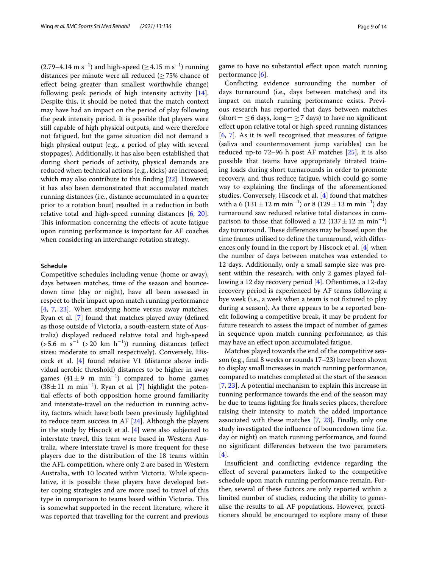$(2.79-4.14 \text{ m s}^{-1})$  and high-speed ( $\geq 4.15 \text{ m s}^{-1}$ ) running distances per minute were all reduced ( $\geq$  75% chance of efect being greater than smallest worthwhile change) following peak periods of high intensity activity [\[14](#page-12-11)]. Despite this, it should be noted that the match context may have had an impact on the period of play following the peak intensity period. It is possible that players were still capable of high physical outputs, and were therefore not fatigued, but the game situation did not demand a high physical output (e.g., a period of play with several stoppages). Additionally, it has also been established that during short periods of activity, physical demands are reduced when technical actions (e.g., kicks) are increased, which may also contribute to this finding [[22\]](#page-12-20). However, it has also been demonstrated that accumulated match running distances (i.e., distance accumulated in a quarter prior to a rotation bout) resulted in a reduction in both relative total and high-speed running distances [\[6,](#page-12-3) [20](#page-12-15)]. This information concerning the effects of acute fatigue upon running performance is important for AF coaches when considering an interchange rotation strategy.

# **Schedule**

Competitive schedules including venue (home or away), days between matches, time of the season and bouncedown time (day or night), have all been assessed in respect to their impact upon match running performance [[4,](#page-12-8) [7](#page-12-4), [23\]](#page-13-0). When studying home versus away matches, Ryan et al. [[7](#page-12-4)] found that matches played away (defned as those outside of Victoria, a south-eastern state of Australia) displayed reduced relative total and high-speed  $($ >5.6 m s<sup>-1</sup> (>20 km h<sup>-1</sup>)) running distances (effect sizes: moderate to small respectively). Conversely, Hiscock et al. [\[4](#page-12-8)] found relative V1 (distance above individual aerobic threshold) distances to be higher in away games  $(41 \pm 9 \text{ m min}^{-1})$  compared to home games  $(38 \pm 11 \text{ m min}^{-1})$ . Ryan et al. [\[7](#page-12-4)] highlight the potential efects of both opposition home ground familiarity and interstate-travel on the reduction in running activity, factors which have both been previously highlighted to reduce team success in AF [\[24](#page-13-6)]. Although the players in the study by Hiscock et al. [\[4](#page-12-8)] were also subjected to interstate travel, this team were based in Western Australia, where interstate travel is more frequent for these players due to the distribution of the 18 teams within the AFL competition, where only 2 are based in Western Australia, with 10 located within Victoria. While speculative, it is possible these players have developed better coping strategies and are more used to travel of this type in comparison to teams based within Victoria. This is somewhat supported in the recent literature, where it was reported that travelling for the current and previous

game to have no substantial efect upon match running performance [[6\]](#page-12-3).

Conficting evidence surrounding the number of days turnaround (i.e., days between matches) and its impact on match running performance exists. Previous research has reported that days between matches (short =  $\leq$  6 days, long =  $\geq$  7 days) to have no significant efect upon relative total or high-speed running distances [[6,](#page-12-3) [7\]](#page-12-4). As it is well recognised that measures of fatigue (saliva and countermovement jump variables) can be reduced up-to 72–96 h post AF matches [[25\]](#page-13-7), it is also possible that teams have appropriately titrated training loads during short turnarounds in order to promote recovery, and thus reduce fatigue, which could go some way to explaining the fndings of the aforementioned studies. Conversely, Hiscock et al. [[4\]](#page-12-8) found that matches with a 6 (131  $\pm$  12 m min<sup>-1</sup>) or 8 (129  $\pm$  13 m min<sup>-1</sup>) day turnaround saw reduced relative total distances in comparison to those that followed a 12  $(137 \pm 12 \text{ m min}^{-1})$ day turnaround. These differences may be based upon the time frames utilised to defne the turnaround, with diferences only found in the report by Hiscock et al. [[4](#page-12-8)] when the number of days between matches was extended to 12 days. Additionally, only a small sample size was present within the research, with only 2 games played following a 12 day recovery period [\[4](#page-12-8)]. Oftentimes, a 12-day recovery period is experienced by AF teams following a bye week (i.e., a week when a team is not fxtured to play during a season). As there appears to be a reported beneft following a competitive break, it may be prudent for future research to assess the impact of number of games in sequence upon match running performance, as this may have an efect upon accumulated fatigue.

Matches played towards the end of the competitive season (e.g., fnal 8 weeks or rounds 17–23) have been shown to display small increases in match running performance, compared to matches completed at the start of the season [[7,](#page-12-4) [23](#page-13-0)]. A potential mechanism to explain this increase in running performance towards the end of the season may be due to teams fghting for fnals series places, therefore raising their intensity to match the added importance associated with these matches [\[7](#page-12-4), [23\]](#page-13-0). Finally, only one study investigated the infuence of bouncedown time (i.e. day or night) on match running performance, and found no signifcant diferences between the two parameters [[4\]](#page-12-8).

Insufficient and conflicting evidence regarding the efect of several parameters linked to the competitive schedule upon match running performance remain. Further, several of these factors are only reported within a limited number of studies, reducing the ability to generalise the results to all AF populations. However, practitioners should be encouraged to explore many of these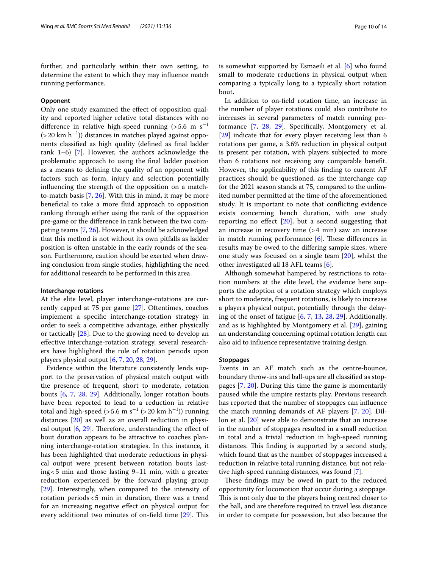# **Opponent**

Only one study examined the efect of opposition quality and reported higher relative total distances with no difference in relative high-speed running (>5.6 m  $\rm s^{-1}$ (>20 km h<sup>−</sup><sup>1</sup> )) distances in matches played against opponents classifed as high quality (defned as fnal ladder rank 1–6) [\[7](#page-12-4)]. However, the authors acknowledge the problematic approach to using the fnal ladder position as a means to defning the quality of an opponent with factors such as form, injury and selection potentially infuencing the strength of the opposition on a matchto-match basis [[7,](#page-12-4) [26](#page-13-8)]. With this in mind, it may be more benefcial to take a more fuid approach to opposition ranking through either using the rank of the opposition pre-game or the diference in rank between the two competing teams [[7,](#page-12-4) [26\]](#page-13-8). However, it should be acknowledged that this method is not without its own pitfalls as ladder position is often unstable in the early rounds of the season. Furthermore, caution should be exerted when drawing conclusion from single studies, highlighting the need for additional research to be performed in this area.

### **Interchange‑rotations**

At the elite level, player interchange-rotations are currently capped at 75 per game [\[27](#page-13-9)]. Oftentimes, coaches implement a specifc interchange-rotation strategy in order to seek a competitive advantage, either physically or tactically [\[28\]](#page-13-2). Due to the growing need to develop an efective interchange-rotation strategy, several researchers have highlighted the role of rotation periods upon players physical output [\[6,](#page-12-3) [7](#page-12-4), [20,](#page-12-15) [28](#page-13-2), [29\]](#page-13-1).

Evidence within the literature consistently lends support to the preservation of physical match output with the presence of frequent, short to moderate, rotation bouts [[6,](#page-12-3) [7,](#page-12-4) [28,](#page-13-2) [29\]](#page-13-1). Additionally, longer rotation bouts have been reported to lead to a reduction in relative total and high-speed (> 5.6 m s<sup>-1</sup> (> 20 km h<sup>-1</sup>)) running distances [[20](#page-12-15)] as well as an overall reduction in physical output  $[6, 29]$  $[6, 29]$  $[6, 29]$  $[6, 29]$  $[6, 29]$ . Therefore, understanding the effect of bout duration appears to be attractive to coaches planning interchange-rotation strategies. In this instance, it has been highlighted that moderate reductions in physical output were present between rotation bouts lasting<5 min and those lasting 9–11 min, with a greater reduction experienced by the forward playing group [[29\]](#page-13-1). Interestingly, when compared to the intensity of rotation periods<5 min in duration, there was a trend for an increasing negative efect on physical output for every additional two minutes of on-field time  $[29]$  $[29]$ . This

is somewhat supported by Esmaeili et al. [\[6](#page-12-3)] who found small to moderate reductions in physical output when comparing a typically long to a typically short rotation bout.

In addition to on-feld rotation time, an increase in the number of player rotations could also contribute to increases in several parameters of match running performance [\[7](#page-12-4), [28,](#page-13-2) [29](#page-13-1)]. Specifcally, Montgomery et al. [[29\]](#page-13-1) indicate that for every player receiving less than 6 rotations per game, a 3.6% reduction in physical output is present per rotation, with players subjected to more than 6 rotations not receiving any comparable beneft. However, the applicability of this fnding to current AF practices should be questioned, as the interchange cap for the 2021 season stands at 75, compared to the unlimited number permitted at the time of the aforementioned study. It is important to note that conficting evidence exists concerning bench duration, with one study reporting no effect  $[20]$  $[20]$ , but a second suggesting that an increase in recovery time (>4 min) saw an increase in match running performance  $[6]$  $[6]$ . These differences in results may be owed to the difering sample sizes, where one study was focused on a single team [[20\]](#page-12-15), whilst the other investigated all 18 AFL teams [[6\]](#page-12-3).

Although somewhat hampered by restrictions to rotation numbers at the elite level, the evidence here supports the adoption of a rotation strategy which employs short to moderate, frequent rotations, is likely to increase a players physical output, potentially through the delaying of the onset of fatigue [[6,](#page-12-3) [7,](#page-12-4) [13,](#page-12-10) [28,](#page-13-2) [29\]](#page-13-1). Additionally, and as is highlighted by Montgomery et al. [\[29\]](#page-13-1), gaining an understanding concerning optimal rotation length can also aid to infuence representative training design.

# **Stoppages**

Events in an AF match such as the centre-bounce, boundary throw-ins and ball-ups are all classifed as stoppages [[7,](#page-12-4) [20](#page-12-15)]. During this time the game is momentarily paused while the umpire restarts play. Previous research has reported that the number of stoppages can infuence the match running demands of AF players [\[7](#page-12-4), [20](#page-12-15)]. Dillon et al. [[20](#page-12-15)] were able to demonstrate that an increase in the number of stoppages resulted in a small reduction in total and a trivial reduction in high-speed running distances. This finding is supported by a second study, which found that as the number of stoppages increased a reduction in relative total running distance, but not relative high-speed running distances, was found [[7\]](#page-12-4).

These findings may be owed in part to the reduced opportunity for locomotion that occur during a stoppage. This is not only due to the players being centred closer to the ball, and are therefore required to travel less distance in order to compete for possession, but also because the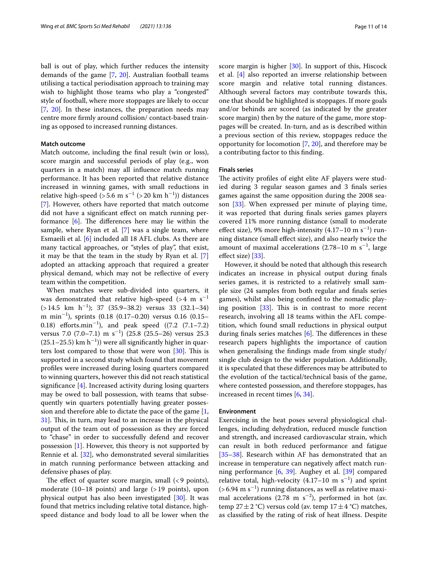ball is out of play, which further reduces the intensity demands of the game [\[7,](#page-12-4) [20\]](#page-12-15). Australian football teams utilising a tactical periodisation approach to training may wish to highlight those teams who play a "congested" style of football, where more stoppages are likely to occur [[7,](#page-12-4) [20](#page-12-15)]. In these instances, the preparation needs may centre more frmly around collision/ contact-based training as opposed to increased running distances.

# **Match outcome**

Match outcome, including the fnal result (win or loss), score margin and successful periods of play (e.g., won quarters in a match) may all infuence match running performance. It has been reported that relative distance increased in winning games, with small reductions in relative high-speed (>5.6 m s<sup>-1</sup> (>20 km h<sup>-1</sup>)) distances [[7\]](#page-12-4). However, others have reported that match outcome did not have a signifcant efect on match running performance  $[6]$  $[6]$ . The differences here may lie within the sample, where Ryan et al. [\[7](#page-12-4)] was a single team, where Esmaeili et al. [\[6](#page-12-3)] included all 18 AFL clubs. As there are many tactical approaches, or "styles of play", that exist, it may be that the team in the study by Ryan et al. [\[7](#page-12-4)] adopted an attacking approach that required a greater physical demand, which may not be refective of every team within the competition.

When matches were sub-divided into quarters, it was demonstrated that relative high-speed (>4  $\mathrm{m}\,\,\mathrm{s}^{-1}$ (>14.5 km h−<sup>1</sup> ); 37 (35.9–38.2) versus 33 (32.1–34) m min−<sup>1</sup> ), sprints (0.18 (0.17–0.20) versus 0.16 (0.15– 0.18) efforts.min<sup>-1</sup>), and peak speed  $((7.2 \t(7.1-7.2)$ versus 7.0  $(7.0-7.1)$  m s<sup>-1</sup>)  $(25.8 \ (25.5-26)$  versus 25.3 (25.1–25.5) km h $^{-1}$ )) were all significantly higher in quarters lost compared to those that were won  $[30]$ . This is supported in a second study which found that movement profles were increased during losing quarters compared to winning quarters, however this did not reach statistical signifcance [[4\]](#page-12-8). Increased activity during losing quarters may be owed to ball possession, with teams that subsequently win quarters potentially having greater possession and therefore able to dictate the pace of the game  $[1, 1]$  $[1, 1]$ [31\]](#page-13-10). This, in turn, may lead to an increase in the physical output of the team out of possession as they are forced to "chase" in order to successfully defend and recover possession [[1](#page-12-0)]. However, this theory is not supported by Rennie et al. [[32\]](#page-13-11), who demonstrated several similarities in match running performance between attacking and defensive phases of play.

The effect of quarter score margin, small  $($ <9 points $)$ , moderate  $(10-18 \text{ points})$  and large  $(>19 \text{ points})$ , upon physical output has also been investigated [[30\]](#page-13-3). It was found that metrics including relative total distance, highspeed distance and body load to all be lower when the score margin is higher [[30\]](#page-13-3). In support of this, Hiscock et al. [[4\]](#page-12-8) also reported an inverse relationship between score margin and relative total running distances. Although several factors may contribute towards this, one that should be highlighted is stoppages. If more goals and/or behinds are scored (as indicated by the greater score margin) then by the nature of the game, more stoppages will be created. In-turn, and as is described within a previous section of this review, stoppages reduce the opportunity for locomotion [[7,](#page-12-4) [20](#page-12-15)], and therefore may be a contributing factor to this fnding.

#### **Finals series**

The activity profiles of eight elite AF players were studied during 3 regular season games and 3 fnals series games against the same opposition during the 2008 season [[33\]](#page-13-4). When expressed per minute of playing time, it was reported that during fnals series games players covered 11% more running distance (small to moderate effect size), 9% more high-intensity  $(4.17-10 \text{ m s}^{-1})$  running distance (small efect size), and also nearly twice the amount of maximal accelerations  $(2.78-10 \text{ m s}^{-1})$ , large efect size) [[33](#page-13-4)].

However, it should be noted that although this research indicates an increase in physical output during fnals series games, it is restricted to a relatively small sample size (24 samples from both regular and fnals series games), whilst also being confned to the nomadic playing position  $[33]$  $[33]$ . This is in contrast to more recent research, involving all 18 teams within the AFL competition, which found small reductions in physical output during finals series matches  $[6]$  $[6]$ . The differences in these research papers highlights the importance of caution when generalising the fndings made from single study/ single club design to the wider population. Additionally, it is speculated that these diferences may be attributed to the evolution of the tactical/technical basis of the game, where contested possession, and therefore stoppages, has increased in recent times [\[6](#page-12-3), [34\]](#page-13-12).

# **Environment**

Exercising in the heat poses several physiological challenges, including dehydration, reduced muscle function and strength, and increased cardiovascular strain, which can result in both reduced performance and fatigue [[35–](#page-13-13)[38\]](#page-13-14). Research within AF has demonstrated that an increase in temperature can negatively afect match running performance [[6,](#page-12-3) [39\]](#page-13-5). Aughey et al. [[39](#page-13-5)] compared relative total, high-velocity  $(4.17-10 \text{ m s}^{-1})$  and sprint  $($ >6.94 m s<sup>-1</sup> $)$  running distances, as well as relative maximal accelerations (2.78 m  $s^{-2}$ ), performed in hot (av. temp  $27 \pm 2$  °C) versus cold (av. temp  $17 \pm 4$  °C) matches, as classifed by the rating of risk of heat illness. Despite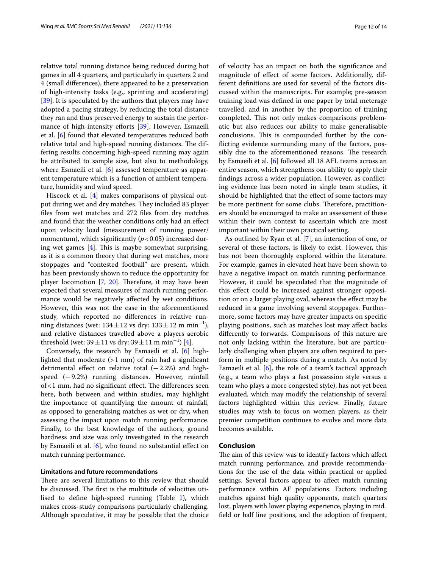relative total running distance being reduced during hot games in all 4 quarters, and particularly in quarters 2 and 4 (small diferences), there appeared to be a preservation of high-intensity tasks (e.g., sprinting and accelerating) [[39\]](#page-13-5). It is speculated by the authors that players may have adopted a pacing strategy, by reducing the total distance they ran and thus preserved energy to sustain the perfor-mance of high-intensity efforts [\[39](#page-13-5)]. However, Esmaeili et al. [\[6](#page-12-3)] found that elevated temperatures reduced both relative total and high-speed running distances. The differing results concerning high-speed running may again be attributed to sample size, but also to methodology, where Esmaeili et al. [[6](#page-12-3)] assessed temperature as apparent temperature which is a function of ambient temperature, humidity and wind speed.

Hiscock et al. [[4](#page-12-8)] makes comparisons of physical output during wet and dry matches. They included 83 player fles from wet matches and 272 fles from dry matches and found that the weather conditions only had an efect upon velocity load (measurement of running power/ momentum), which significantly  $(p<0.05)$  increased during wet games  $[4]$  $[4]$ . This is maybe somewhat surprising, as it is a common theory that during wet matches, more stoppages and "contested football" are present, which has been previously shown to reduce the opportunity for player locomotion  $[7, 20]$  $[7, 20]$  $[7, 20]$  $[7, 20]$ . Therefore, it may have been expected that several measures of match running performance would be negatively afected by wet conditions. However, this was not the case in the aforementioned study, which reported no diferences in relative running distances (wet:  $134 \pm 12$  vs dry:  $133 \pm 12$  m min<sup>-1</sup>), and relative distances travelled above a players aerobic threshold (wet: 39  $\pm$  11 vs dry: 39  $\pm$  11 m min<sup>-1</sup>) [[4](#page-12-8)].

Conversely, the research by Esmaeili et al. [\[6\]](#page-12-3) highlighted that moderate  $(>1$  mm) of rain had a significant detrimental effect on relative total  $(-2.2%)$  and highspeed (−9.2%) running distances. However, rainfall  $of < 1$  mm, had no significant effect. The differences seen here, both between and within studies, may highlight the importance of quantifying the amount of rainfall, as opposed to generalising matches as wet or dry, when assessing the impact upon match running performance. Finally, to the best knowledge of the authors, ground hardness and size was only investigated in the research by Esmaeili et al. [[6\]](#page-12-3), who found no substantial effect on match running performance.

#### **Limitations and future recommendations**

There are several limitations to this review that should be discussed. The first is the multitude of velocities utilised to defne high-speed running (Table [1](#page-2-0)), which makes cross-study comparisons particularly challenging. Although speculative, it may be possible that the choice of velocity has an impact on both the signifcance and magnitude of efect of some factors. Additionally, different defnitions are used for several of the factors discussed within the manuscripts. For example; pre-season training load was defned in one paper by total meterage travelled, and in another by the proportion of training completed. This not only makes comparisons problematic but also reduces our ability to make generalisable conclusions. This is compounded further by the conficting evidence surrounding many of the factors, possibly due to the aforementioned reasons. The research by Esmaeili et al. [[6\]](#page-12-3) followed all 18 AFL teams across an entire season, which strengthens our ability to apply their fndings across a wider population. However, as conficting evidence has been noted in single team studies, it should be highlighted that the effect of some factors may be more pertinent for some clubs. Therefore, practitioners should be encouraged to make an assessment of these within their own context to ascertain which are most important within their own practical setting.

As outlined by Ryan et al. [\[7\]](#page-12-4), an interaction of one, or several of these factors, is likely to exist. However, this has not been thoroughly explored within the literature. For example, games in elevated heat have been shown to have a negative impact on match running performance. However, it could be speculated that the magnitude of this efect could be increased against stronger opposition or on a larger playing oval, whereas the efect may be reduced in a game involving several stoppages. Furthermore, some factors may have greater impacts on specifc playing positions, such as matches lost may afect backs diferently to forwards. Comparisons of this nature are not only lacking within the literature, but are particularly challenging when players are often required to perform in multiple positions during a match. As noted by Esmaeili et al. [[6\]](#page-12-3), the role of a team's tactical approach (e.g., a team who plays a fast possession style versus a team who plays a more congested style), has not yet been evaluated, which may modify the relationship of several factors highlighted within this review. Finally, future studies may wish to focus on women players, as their premier competition continues to evolve and more data becomes available.

#### **Conclusion**

The aim of this review was to identify factors which affect match running performance, and provide recommendations for the use of the data within practical or applied settings. Several factors appear to afect match running performance within AF populations. Factors including matches against high quality opponents, match quarters lost, players with lower playing experience, playing in midfeld or half line positions, and the adoption of frequent,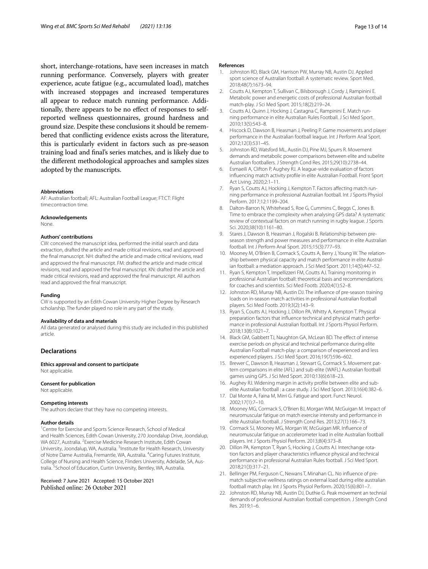short, interchange-rotations, have seen increases in match running performance. Conversely, players with greater experience, acute fatigue (e.g., accumulated load), matches with increased stoppages and increased temperatures all appear to reduce match running performance. Additionally, there appears to be no efect of responses to selfreported wellness questionnaires, ground hardness and ground size. Despite these conclusions it should be remembered that conficting evidence exists across the literature, this is particularly evident in factors such as pre-season training load and fnal's series matches, and is likely due to the diferent methodological approaches and samples sizes adopted by the manuscripts.

#### **Abbreviations**

AF: Australian football; AFL: Australian Football League; FT:CT: Flight time:contraction time.

#### **Acknowledgements**

None.

#### **Authors' contributions**

CW: conceived the manuscript idea, performed the initial search and data extraction, drafted the article and made critical revisions, read and approved the fnal manuscript. NH: drafted the article and made critical revisions, read and approved the fnal manuscript. FM: drafted the article and made critical revisions, read and approved the fnal manuscript. KN: drafted the article and made critical revisions, read and approved the fnal manuscript. All authors read and approved the fnal manuscript.

#### **Funding**

CW is supported by an Edith Cowan University Higher Degree by Research scholarship. The funder played no role in any part of the study.

#### **Availability of data and materials**

All data generated or analysed during this study are included in this published article.

# **Declarations**

**Ethics approval and consent to participate** Not applicable.

#### **Consent for publication**

Not applicable.

#### **Competing interests**

The authors declare that they have no competing interests.

#### **Author details**

<sup>1</sup> Centre for Exercise and Sports Science Research, School of Medical and Health Sciences, Edith Cowan University, 270 Joondalup Drive, Joondalup, WA 6027, Australia. <sup>2</sup> Exercise Medicine Research Institute, Edith Cowan University, Joondalup, WA, Australia. <sup>3</sup>Institute for Health Research, University of Notre Dame Australia, Fremantle, WA, Australia. <sup>4</sup> Caring Futures Institute, College of Nursing and Health Science, Flinders University, Adelaide, SA, Australia. <sup>5</sup> School of Education, Curtin University, Bentley, WA, Australia.

Received: 7 June 2021 Accepted: 15 October 2021

#### **References**

- <span id="page-12-0"></span>1. Johnston RD, Black GM, Harrison PW, Murray NB, Austin DJ. Applied sport science of Australian football: A systematic review. Sport Med. 2018;48(7):1673–94.
- <span id="page-12-1"></span>2. Coutts AJ, Kempton T, Sullivan C, Bilsborough J, Cordy J, Rampinini E. Metabolic power and energetic costs of professional Australian football match-play. J Sci Med Sport. 2015;18(2):219–24.
- 3. Coutts AJ, Quinn J, Hocking J, Castagna C, Rampinini E. Match running performance in elite Australian Rules Football. J Sci Med Sport. 2010;13(5):543–8.
- <span id="page-12-8"></span>4. Hiscock D, Dawson B, Heasman J, Peeling P. Game movements and player performance in the Australian football league. Int J Perform Anal Sport. 2012;12(3):531–45.
- <span id="page-12-2"></span>5. Johnston RD, Watsford ML, Austin DJ, Pine MJ, Spurrs R. Movement demands and metabolic power comparisons between elite and subelite Australian footballers. J Strength Cond Res. 2015;29(10):2738–44.
- <span id="page-12-3"></span>6. Esmaeili A, Clifton P, Aughey RJ. A league-wide evaluation of factors infuencing match activity profle in elite Australian Football. Front Sport Act Living. 2020;2:1–11.
- <span id="page-12-4"></span>7. Ryan S, Coutts AJ, Hocking J, Kempton T. Factors affecting match running performance in professional Australian football. Int J Sports Physiol Perform. 2017;12:1199–204.
- <span id="page-12-5"></span>8. Dalton-Barron N, Whitehead S, Roe G, Cummins C, Beggs C, Jones B. Time to embrace the complexity when analysing GPS data? A systematic review of contextual factors on match running in rugby league. J Sports Sci. 2020;38(10):1161–80.
- <span id="page-12-6"></span>9. Stares J, Dawson B, Heasman J, Rogalski B. Relationship between preseason strength and power measures and performance in elite Australian football. Int J Perform Anal Sport. 2015;15(3):777–93.
- <span id="page-12-7"></span>10. Mooney M, O'Brien B, Cormack S, Coutts A, Berry J, Young W. The relationship between physical capacity and match performance in elite Australian football: a mediation approach. J Sci Med Sport. 2011;14(5):447–52.
- <span id="page-12-16"></span>11. Ryan S, Kempton T, Impellizzeri FM, Coutts AJ. Training monitoring in professional Australian football: theoretical basis and recommendations for coaches and scientists. Sci Med Footb. 2020;4(1):52–8.
- <span id="page-12-9"></span>12. Johnston RD, Murray NB, Austin DJ. The infuence of pre-season training loads on in-season match activities in professional Australian football players. Sci Med Footb. 2019;3(2):143–9.
- <span id="page-12-10"></span>13. Ryan S, Coutts AJ, Hocking J, Dillon PA, Whitty A, Kempton T. Physical preparation factors that infuence technical and physical match performance in professional Australian football. Int J Sports Physiol Perform. 2018;13(8):1021–7.
- <span id="page-12-11"></span>14. Black GM, Gabbett TJ, Naughton GA, McLean BD. The effect of intense exercise periods on physical and technical performance during elite Australian Football match-play: a comparison of experienced and less experienced players. J Sci Med Sport. 2016;19(7):596–602.
- <span id="page-12-17"></span>15. Brewer C, Dawson B, Heasman J, Stewart G, Cormack S. Movement pattern comparisons in elite (AFL) and sub-elite (WAFL) Australian football games using GPS. J Sci Med Sport. 2010;13(6):618–23.
- <span id="page-12-18"></span>16. Aughey RJ. Widening margin in activity profle between elite and subelite Australian football : a case study. J Sci Med Sport. 2013;16(4):382–6.
- <span id="page-12-19"></span>17. Dal Monte A, Faina M, Mirri G. Fatigue and sport. Funct Neurol. 2002;17(1):7–10.
- <span id="page-12-13"></span>18. Mooney MG, Cormack S, O'Brien BJ, Morgan WM, McGuigan M. Impact of neuromuscular fatigue on match exercise intensity and performance in elite Australian football. J Strength Cond Res. 2013;27(1):166–73.
- <span id="page-12-14"></span>19. Cormack SJ, Mooney MG, Morgan W, McGuigan MR. Infuence of neuromuscular fatigue on accelerometer load in elite Australian football players. Int J Sports Physiol Perform. 2013;8(4):373–8.
- <span id="page-12-15"></span>20. Dillon PA, Kempton T, Ryan S, Hocking J, Coutts AJ. Interchange rotation factors and player characteristics infuence physical and technical performance in professional Australian Rules football. J Sci Med Sport. 2018;21(3):317–21.
- <span id="page-12-12"></span>21. Bellinger PM, Ferguson C, Newans T, Minahan CL. No infuence of prematch subjective wellness ratings on external load during elite australian football match play. Int J Sports Physiol Perform. 2020;15(6):801–7.
- <span id="page-12-20"></span>22. Johnston RD, Murray NB, Austin DJ, Duthie G. Peak movement an technial demands of professional Australian football competition. J Strength Cond Res. 2019;1–6.